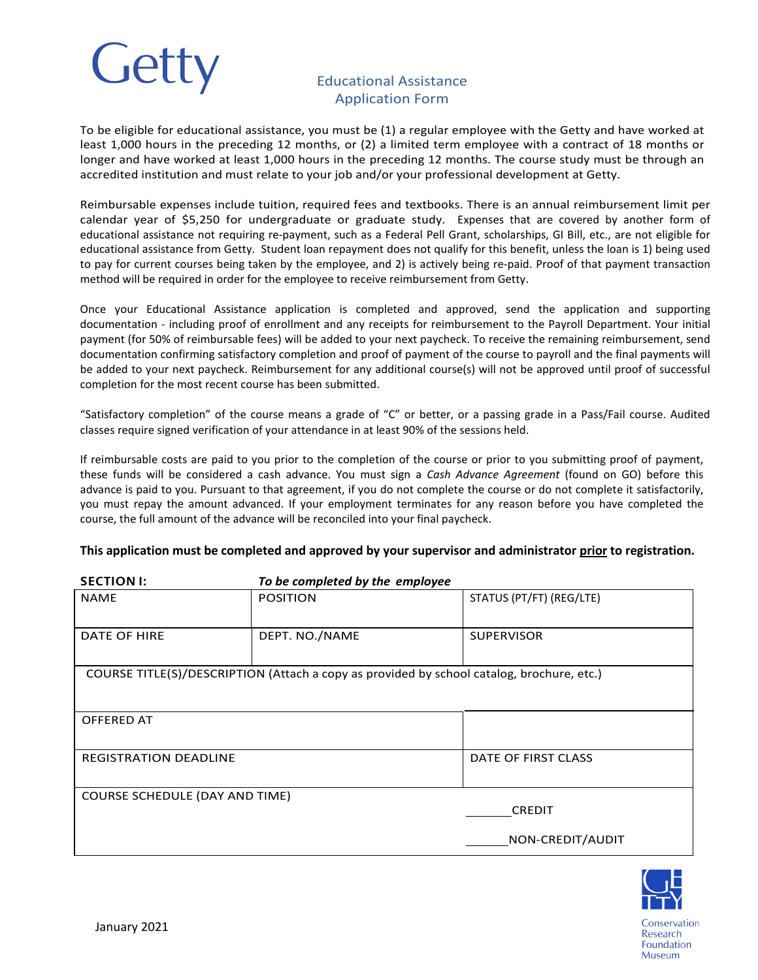

## Educational Assistance Application Form

To be eligible for educational assistance, you must be (1) a regular employee with the Getty and have worked at least 1,000 hours in the preceding 12 months, or (2) a limited term employee with a contract of 18 months or longer and have worked at least 1,000 hours in the preceding 12 months. The course study must be through an accredited institution and must relate to your job and/or your professional development at Getty.

Reimbursable expenses include tuition, required fees and textbooks. There is an annual reimbursement limit per calendar year of \$5,250 for undergraduate or graduate study. Expenses that are covered by another form of educational assistance not requiring re-payment, such as a Federal Pell Grant, scholarships, GI Bill, etc., are not eligible for educational assistance from Getty. Student loan repayment does not qualify for this benefit, unless the loan is 1) being used to pay for current courses being taken by the employee, and 2) is actively being re-paid. Proof of that payment transaction method will be required in order for the employee to receive reimbursement from Getty.

Once your Educational Assistance application is completed and approved, send the application and supporting documentation - including proof of enrollment and any receipts for reimbursement to the Payroll Department. Your initial payment (for 50% of reimbursable fees) will be added to your next paycheck. To receive the remaining reimbursement, send documentation confirming satisfactory completion and proof of payment of the course to payroll and the final payments will be added to your next paycheck. Reimbursement for any additional course(s) will not be approved until proof of successful completion for the most recent course has been submitted.

"Satisfactory completion" of the course means a grade of "C" or better, or a passing grade in a Pass/Fail course. Audited classes require signed verification of your attendance in at least 90% of the sessions held.

If reimbursable costs are paid to you prior to the completion of the course or prior to you submitting proof of payment, these funds will be considered a cash advance. You must sign a *Cash Advance Agreement* (found on GO) before this advance is paid to you. Pursuant to that agreement, if you do not complete the course or do not complete it satisfactorily, you must repay the amount advanced. If your employment terminates for any reason before you have completed the course, the full amount of the advance will be reconciled into your final paycheck.

## **This application must be completed and approved by your supervisor and administrator prior to registration.**

| <b>SECTION I:</b>                                                                         | To be completed by the employee |                          |  |  |
|-------------------------------------------------------------------------------------------|---------------------------------|--------------------------|--|--|
| <b>NAME</b>                                                                               | <b>POSITION</b>                 | STATUS (PT/FT) (REG/LTE) |  |  |
| DATE OF HIRE                                                                              | DEPT. NO./NAME                  | <b>SUPERVISOR</b>        |  |  |
| COURSE TITLE(S)/DESCRIPTION (Attach a copy as provided by school catalog, brochure, etc.) |                                 |                          |  |  |
| OFFERED AT                                                                                |                                 |                          |  |  |
| <b>REGISTRATION DEADLINE</b>                                                              |                                 | DATE OF FIRST CLASS      |  |  |
| COURSE SCHEDULE (DAY AND TIME)                                                            |                                 | <b>CREDIT</b>            |  |  |
|                                                                                           |                                 | NON-CREDIT/AUDIT         |  |  |